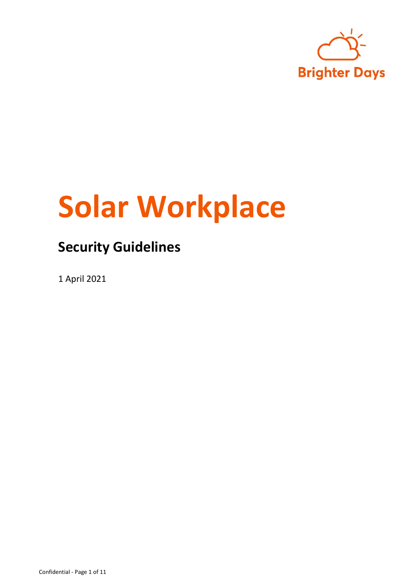

# **Solar Workplace**

### **Security Guidelines**

1 April 2021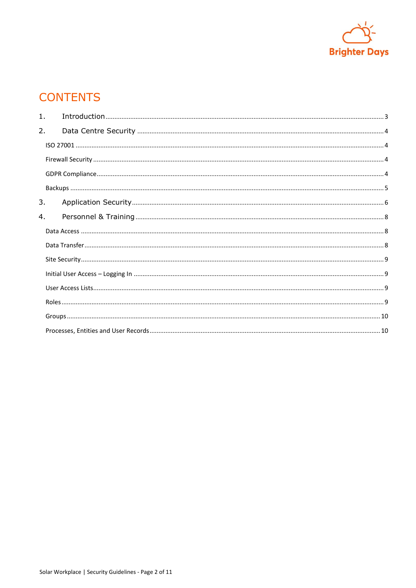

### **CONTENTS**

| $\mathbf{1}$ . |  |  |
|----------------|--|--|
| 2.             |  |  |
|                |  |  |
|                |  |  |
|                |  |  |
|                |  |  |
| 3.             |  |  |
| 4.             |  |  |
|                |  |  |
|                |  |  |
|                |  |  |
|                |  |  |
|                |  |  |
|                |  |  |
|                |  |  |
|                |  |  |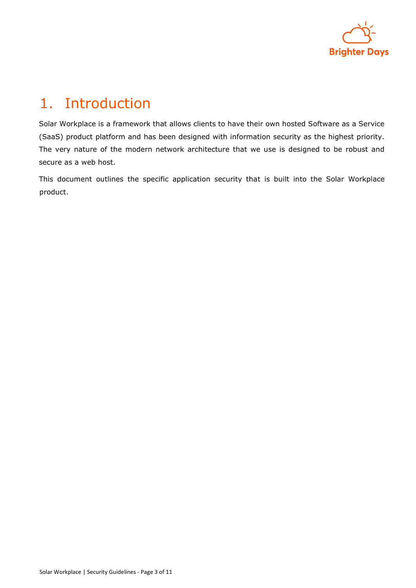

## <span id="page-2-0"></span>1. Introduction

Solar Workplace is a framework that allows clients to have their own hosted Software as a Service (SaaS) product platform and has been designed with information security as the highest priority. The very nature of the modern network architecture that we use is designed to be robust and secure as a web host.

This document outlines the specific application security that is built into the Solar Workplace product.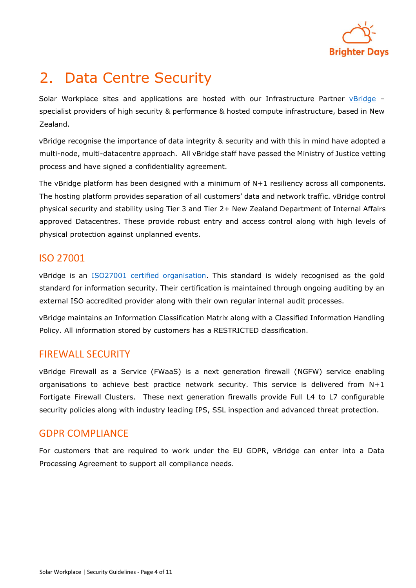

# <span id="page-3-0"></span>2. Data Centre Security

Solar Workplace sites and applications are hosted with our Infrastructure Partner [vBridge](http://vbridge.co.nz/) specialist providers of high security & performance & hosted compute infrastructure, based in New Zealand.

vBridge recognise the importance of data integrity & security and with this in mind have adopted a multi-node, multi-datacentre approach. All vBridge staff have passed the Ministry of Justice vetting process and have signed a confidentiality agreement.

The vBridge platform has been designed with a minimum of N+1 resiliency across all components. The hosting platform provides separation of all customers' data and network traffic. vBridge control physical security and stability using Tier 3 and Tier 2+ New Zealand Department of Internal Affairs approved Datacentres. These provide robust entry and access control along with high levels of physical protection against unplanned events.

### <span id="page-3-1"></span>ISO 27001

vBridge is an **ISO27001** certified organisation. This standard is widely recognised as the gold standard for information security. Their certification is maintained through ongoing auditing by an external ISO accredited provider along with their own regular internal audit processes.

vBridge maintains an Information Classification Matrix along with a Classified Information Handling Policy. All information stored by customers has a RESTRICTED classification.

#### <span id="page-3-2"></span>FIREWALL SECURITY

vBridge Firewall as a Service (FWaaS) is a next generation firewall (NGFW) service enabling organisations to achieve best practice network security. This service is delivered from N+1 Fortigate Firewall Clusters. These next generation firewalls provide Full L4 to L7 configurable security policies along with industry leading IPS, SSL inspection and advanced threat protection.

#### <span id="page-3-3"></span>GDPR COMPLIANCE

For customers that are required to work under the EU GDPR, vBridge can enter into a Data Processing Agreement to support all compliance needs.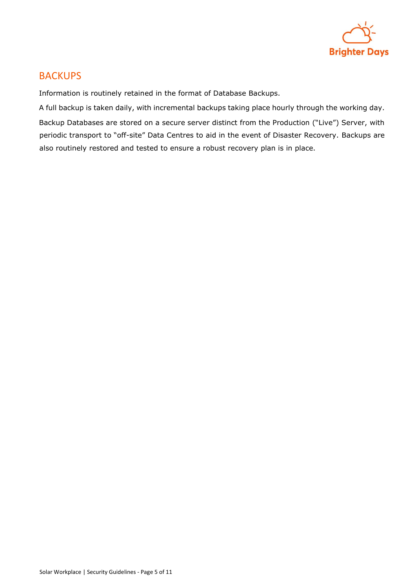

#### <span id="page-4-0"></span>**BACKUPS**

Information is routinely retained in the format of Database Backups.

A full backup is taken daily, with incremental backups taking place hourly through the working day. Backup Databases are stored on a secure server distinct from the Production ("Live") Server, with periodic transport to "off-site" Data Centres to aid in the event of Disaster Recovery. Backups are also routinely restored and tested to ensure a robust recovery plan is in place.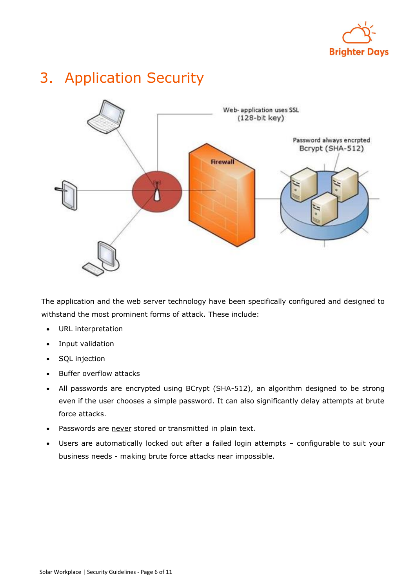

### <span id="page-5-0"></span>3. Application Security



The application and the web server technology have been specifically configured and designed to withstand the most prominent forms of attack. These include:

- URL interpretation
- Input validation
- SQL injection
- Buffer overflow attacks
- All passwords are encrypted using BCrypt (SHA-512), an algorithm designed to be strong even if the user chooses a simple password. It can also significantly delay attempts at brute force attacks.
- Passwords are never stored or transmitted in plain text.
- Users are automatically locked out after a failed login attempts configurable to suit your business needs - making brute force attacks near impossible.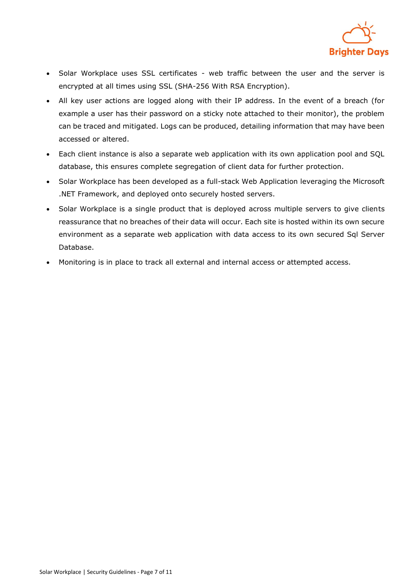

- Solar Workplace uses SSL certificates web traffic between the user and the server is encrypted at all times using SSL (SHA-256 With RSA Encryption).
- All key user actions are logged along with their IP address. In the event of a breach (for example a user has their password on a sticky note attached to their monitor), the problem can be traced and mitigated. Logs can be produced, detailing information that may have been accessed or altered.
- Each client instance is also a separate web application with its own application pool and SQL database, this ensures complete segregation of client data for further protection.
- Solar Workplace has been developed as a full-stack Web Application leveraging the Microsoft .NET Framework, and deployed onto securely hosted servers.
- Solar Workplace is a single product that is deployed across multiple servers to give clients reassurance that no breaches of their data will occur. Each site is hosted within its own secure environment as a separate web application with data access to its own secured Sql Server Database.
- Monitoring is in place to track all external and internal access or attempted access.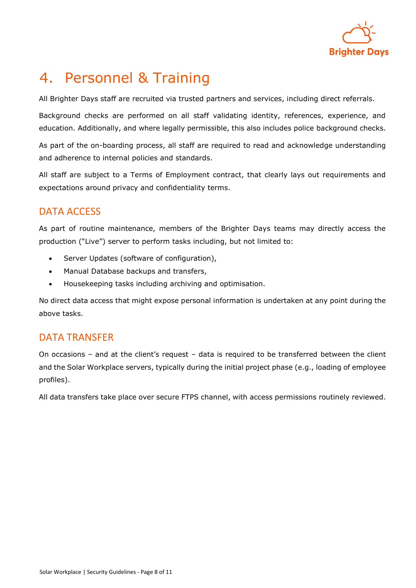

### <span id="page-7-0"></span>4. Personnel & Training

All Brighter Days staff are recruited via trusted partners and services, including direct referrals.

Background checks are performed on all staff validating identity, references, experience, and education. Additionally, and where legally permissible, this also includes police background checks.

As part of the on-boarding process, all staff are required to read and acknowledge understanding and adherence to internal policies and standards.

All staff are subject to a Terms of Employment contract, that clearly lays out requirements and expectations around privacy and confidentiality terms.

### <span id="page-7-1"></span>DATA ACCESS

As part of routine maintenance, members of the Brighter Days teams may directly access the production ("Live") server to perform tasks including, but not limited to:

- Server Updates (software of configuration),
- Manual Database backups and transfers,
- Housekeeping tasks including archiving and optimisation.

No direct data access that might expose personal information is undertaken at any point during the above tasks.

#### <span id="page-7-2"></span>DATA TRANSFER

On occasions – and at the client's request – data is required to be transferred between the client and the Solar Workplace servers, typically during the initial project phase (e.g., loading of employee profiles).

All data transfers take place over secure FTPS channel, with access permissions routinely reviewed.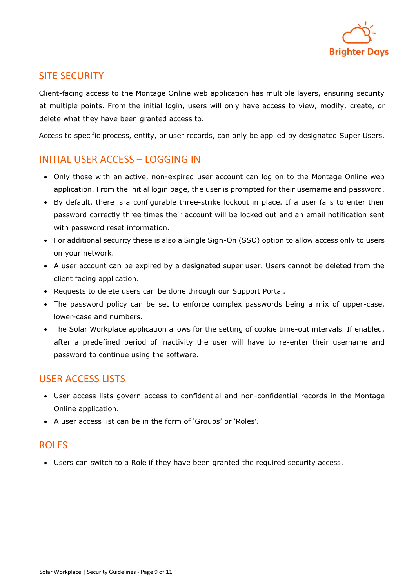

### <span id="page-8-0"></span>SITE SECURITY

Client-facing access to the Montage Online web application has multiple layers, ensuring security at multiple points. From the initial login, users will only have access to view, modify, create, or delete what they have been granted access to.

Access to specific process, entity, or user records, can only be applied by designated Super Users.

### <span id="page-8-1"></span>INITIAL USER ACCESS – LOGGING IN

- Only those with an active, non-expired user account can log on to the Montage Online web application. From the initial login page, the user is prompted for their username and password.
- By default, there is a configurable three-strike lockout in place. If a user fails to enter their password correctly three times their account will be locked out and an email notification sent with password reset information.
- For additional security these is also a Single Sign-On (SSO) option to allow access only to users on your network.
- A user account can be expired by a designated super user. Users cannot be deleted from the client facing application.
- Requests to delete users can be done through our Support Portal.
- The password policy can be set to enforce complex passwords being a mix of upper-case, lower-case and numbers.
- The Solar Workplace application allows for the setting of cookie time-out intervals. If enabled, after a predefined period of inactivity the user will have to re-enter their username and password to continue using the software.

### <span id="page-8-2"></span>USER ACCESS LISTS

- User access lists govern access to confidential and non-confidential records in the Montage Online application.
- A user access list can be in the form of 'Groups' or 'Roles'.

#### <span id="page-8-3"></span>ROLES

• Users can switch to a Role if they have been granted the required security access.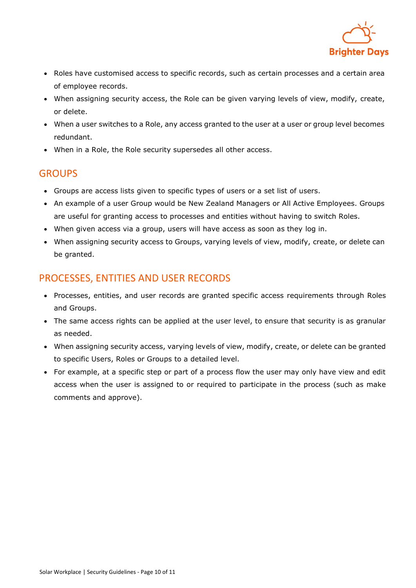

- Roles have customised access to specific records, such as certain processes and a certain area of employee records.
- When assigning security access, the Role can be given varying levels of view, modify, create, or delete.
- When a user switches to a Role, any access granted to the user at a user or group level becomes redundant.
- When in a Role, the Role security supersedes all other access.

### <span id="page-9-0"></span>**GROUPS**

- Groups are access lists given to specific types of users or a set list of users.
- An example of a user Group would be New Zealand Managers or All Active Employees. Groups are useful for granting access to processes and entities without having to switch Roles.
- When given access via a group, users will have access as soon as they log in.
- When assigning security access to Groups, varying levels of view, modify, create, or delete can be granted.

### <span id="page-9-1"></span>PROCESSES, ENTITIES AND USER RECORDS

- Processes, entities, and user records are granted specific access requirements through Roles and Groups.
- The same access rights can be applied at the user level, to ensure that security is as granular as needed.
- When assigning security access, varying levels of view, modify, create, or delete can be granted to specific Users, Roles or Groups to a detailed level.
- For example, at a specific step or part of a process flow the user may only have view and edit access when the user is assigned to or required to participate in the process (such as make comments and approve).